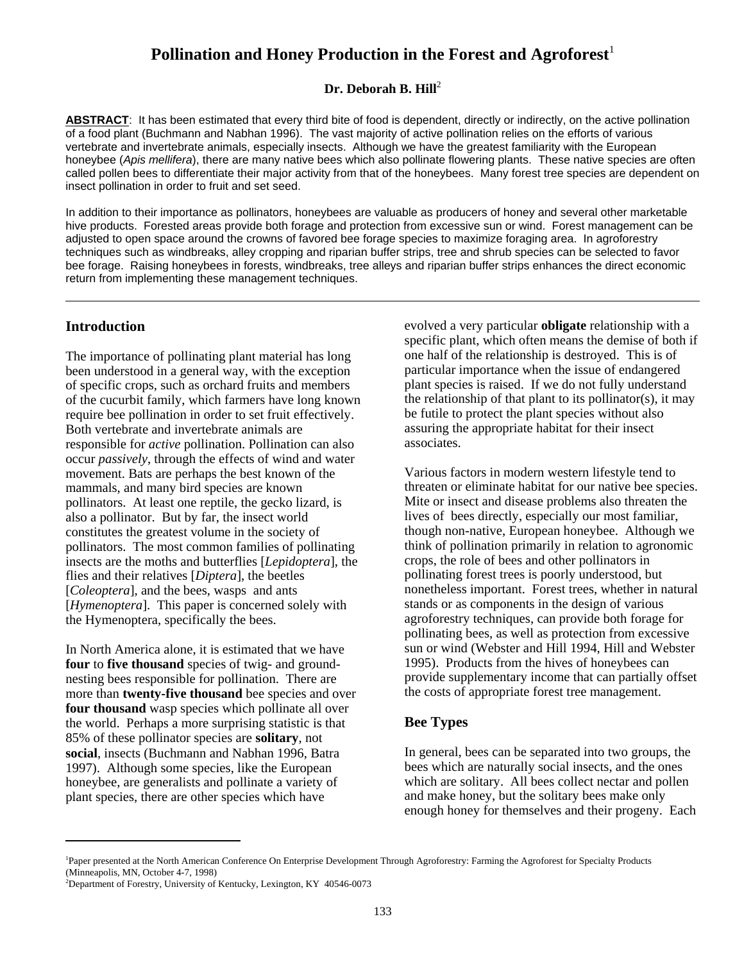# Pollination and Honey Production in the Forest and Agroforest<sup>1</sup>

#### Dr. Deborah B. Hill<sup>2</sup>

**ABSTRACT**: It has been estimated that every third bite of food is dependent, directly or indirectly, on the active pollination of a food plant (Buchmann and Nabhan 1996). The vast majority of active pollination relies on the efforts of various vertebrate and invertebrate animals, especially insects. Although we have the greatest familiarity with the European honeybee (*Apis mellifera*), there are many native bees which also pollinate flowering plants. These native species are often called pollen bees to differentiate their major activity from that of the honeybees. Many forest tree species are dependent on insect pollination in order to fruit and set seed.

In addition to their importance as pollinators, honeybees are valuable as producers of honey and several other marketable hive products. Forested areas provide both forage and protection from excessive sun or wind. Forest management can be adjusted to open space around the crowns of favored bee forage species to maximize foraging area. In agroforestry techniques such as windbreaks, alley cropping and riparian buffer strips, tree and shrub species can be selected to favor bee forage. Raising honeybees in forests, windbreaks, tree alleys and riparian buffer strips enhances the direct economic return from implementing these management techniques.

#### **Introduction**

The importance of pollinating plant material has long been understood in a general way, with the exception of specific crops, such as orchard fruits and members of the cucurbit family, which farmers have long known require bee pollination in order to set fruit effectively. Both vertebrate and invertebrate animals are responsible for *active* pollination. Pollination can also occur *passively*, through the effects of wind and water movement. Bats are perhaps the best known of the mammals, and many bird species are known pollinators. At least one reptile, the gecko lizard, is also a pollinator. But by far, the insect world constitutes the greatest volume in the society of pollinators. The most common families of pollinating insects are the moths and butterflies [*Lepidoptera*], the flies and their relatives [*Diptera*], the beetles [*Coleoptera*], and the bees, wasps and ants [*Hymenoptera*]. This paper is concerned solely with the Hymenoptera, specifically the bees.

In North America alone, it is estimated that we have **four** to **five thousand** species of twig- and groundnesting bees responsible for pollination. There are more than **twenty-five thousand** bee species and over **four thousand** wasp species which pollinate all over the world. Perhaps a more surprising statistic is that 85% of these pollinator species are **solitary**, not **social**, insects (Buchmann and Nabhan 1996, Batra 1997). Although some species, like the European honeybee, are generalists and pollinate a variety of plant species, there are other species which have

evolved a very particular **obligate** relationship with a specific plant, which often means the demise of both if one half of the relationship is destroyed. This is of particular importance when the issue of endangered plant species is raised. If we do not fully understand the relationship of that plant to its pollinator(s), it may be futile to protect the plant species without also assuring the appropriate habitat for their insect associates.

Various factors in modern western lifestyle tend to threaten or eliminate habitat for our native bee species. Mite or insect and disease problems also threaten the lives of bees directly, especially our most familiar, though non-native, European honeybee. Although we think of pollination primarily in relation to agronomic crops, the role of bees and other pollinators in pollinating forest trees is poorly understood, but nonetheless important. Forest trees, whether in natural stands or as components in the design of various agroforestry techniques, can provide both forage for pollinating bees, as well as protection from excessive sun or wind (Webster and Hill 1994, Hill and Webster 1995). Products from the hives of honeybees can provide supplementary income that can partially offset the costs of appropriate forest tree management.

#### **Bee Types**

In general, bees can be separated into two groups, the bees which are naturally social insects, and the ones which are solitary. All bees collect nectar and pollen and make honey, but the solitary bees make only enough honey for themselves and their progeny. Each

<sup>&</sup>lt;sup>1</sup>Paper presented at the North American Conference On Enterprise Development Through Agroforestry: Farming the Agroforest for Specialty Products (Minneapolis, MN, October 4-7, 1998)

<sup>&</sup>lt;sup>2</sup>Department of Forestry, University of Kentucky, Lexington, KY 40546-0073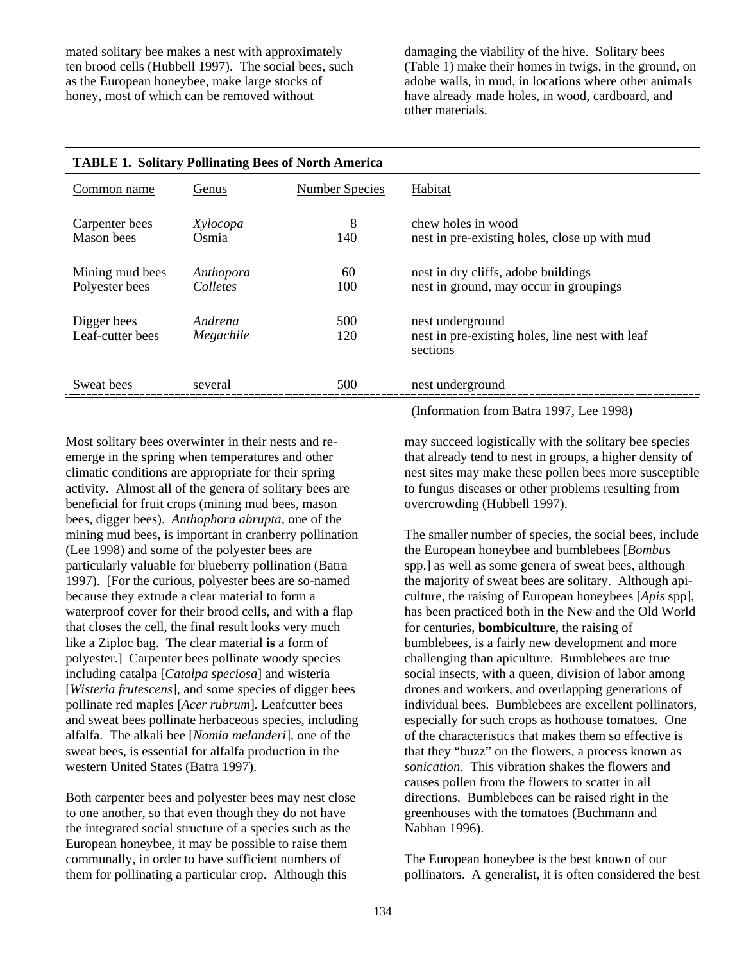mated solitary bee makes a nest with approximately ten brood cells (Hubbell 1997). The social bees, such as the European honeybee, make large stocks of honey, most of which can be removed without

damaging the viability of the hive. Solitary bees (Table 1) make their homes in twigs, in the ground, on adobe walls, in mud, in locations where other animals have already made holes, in wood, cardboard, and other materials.

| TADLE 1. SOMARY FORMALING DEES OF NOTHER AMERICA |                       |                       |                                                                                 |  |  |  |  |  |
|--------------------------------------------------|-----------------------|-----------------------|---------------------------------------------------------------------------------|--|--|--|--|--|
| Common name                                      | Genus                 | <b>Number Species</b> | Habitat                                                                         |  |  |  |  |  |
| Carpenter bees<br>Mason bees                     | Xylocopa<br>Osmia     | 8<br>140              | chew holes in wood<br>nest in pre-existing holes, close up with mud             |  |  |  |  |  |
| Mining mud bees<br>Polyester bees                | Anthopora<br>Colletes | 60<br>100             | nest in dry cliffs, adobe buildings<br>nest in ground, may occur in groupings   |  |  |  |  |  |
| Digger bees<br>Leaf-cutter bees                  | Andrena<br>Megachile  | 500<br>120            | nest underground<br>nest in pre-existing holes, line nest with leaf<br>sections |  |  |  |  |  |
| Sweat bees                                       | several               | 500                   | nest underground                                                                |  |  |  |  |  |
|                                                  |                       |                       |                                                                                 |  |  |  |  |  |

|  | <b>TABLE 1. Solitary Pollinating Bees of North America</b> |  |  |
|--|------------------------------------------------------------|--|--|
|  |                                                            |  |  |

Most solitary bees overwinter in their nests and reemerge in the spring when temperatures and other climatic conditions are appropriate for their spring activity. Almost all of the genera of solitary bees are beneficial for fruit crops (mining mud bees, mason bees, digger bees). *Anthophora abrupta*, one of the mining mud bees, is important in cranberry pollination (Lee 1998) and some of the polyester bees are particularly valuable for blueberry pollination (Batra 1997). [For the curious, polyester bees are so-named because they extrude a clear material to form a waterproof cover for their brood cells, and with a flap that closes the cell, the final result looks very much like a Ziploc bag. The clear material **is** a form of polyester.] Carpenter bees pollinate woody species including catalpa [*Catalpa speciosa*] and wisteria [*Wisteria frutescens*], and some species of digger bees pollinate red maples [*Acer rubrum*]. Leafcutter bees and sweat bees pollinate herbaceous species, including alfalfa. The alkali bee [*Nomia melanderi*], one of the sweat bees, is essential for alfalfa production in the western United States (Batra 1997).

Both carpenter bees and polyester bees may nest close to one another, so that even though they do not have the integrated social structure of a species such as the European honeybee, it may be possible to raise them communally, in order to have sufficient numbers of them for pollinating a particular crop. Although this

(Information from Batra 1997, Lee 1998)

may succeed logistically with the solitary bee species that already tend to nest in groups, a higher density of nest sites may make these pollen bees more susceptible to fungus diseases or other problems resulting from overcrowding (Hubbell 1997).

The smaller number of species, the social bees, include the European honeybee and bumblebees [*Bombus* spp.] as well as some genera of sweat bees, although the majority of sweat bees are solitary. Although apiculture, the raising of European honeybees [*Apis* spp], has been practiced both in the New and the Old World for centuries, **bombiculture**, the raising of bumblebees, is a fairly new development and more challenging than apiculture. Bumblebees are true social insects, with a queen, division of labor among drones and workers, and overlapping generations of individual bees. Bumblebees are excellent pollinators, especially for such crops as hothouse tomatoes. One of the characteristics that makes them so effective is that they "buzz" on the flowers, a process known as *sonication*. This vibration shakes the flowers and causes pollen from the flowers to scatter in all directions. Bumblebees can be raised right in the greenhouses with the tomatoes (Buchmann and Nabhan 1996).

The European honeybee is the best known of our pollinators. A generalist, it is often considered the best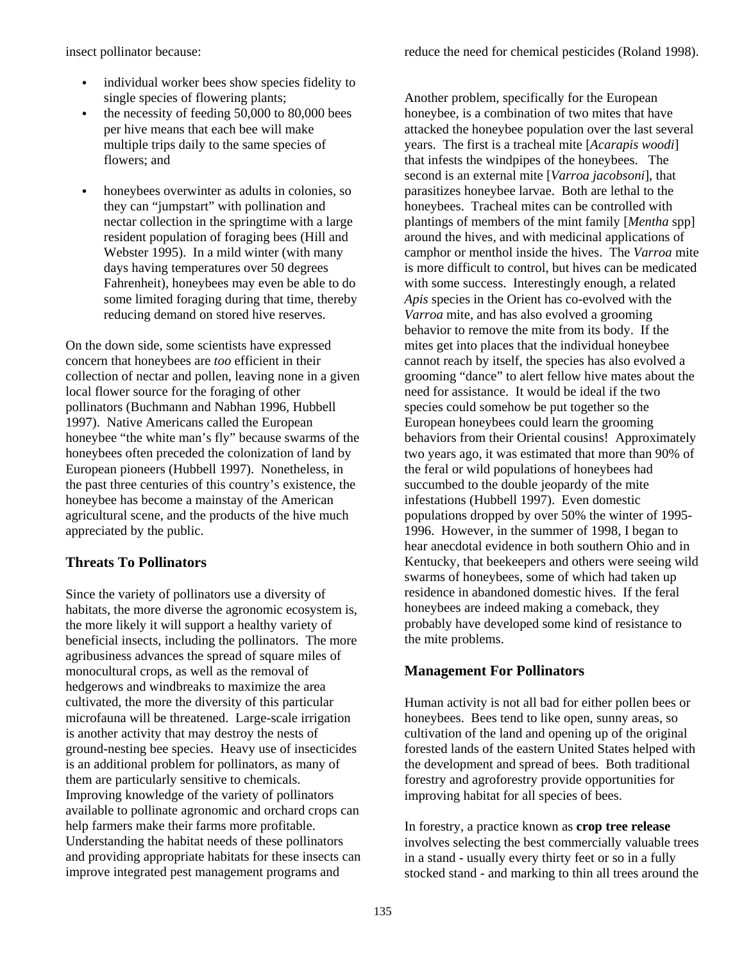insect pollinator because:

- individual worker bees show species fidelity to single species of flowering plants;
- the necessity of feeding  $50,000$  to  $80,000$  bees per hive means that each bee will make multiple trips daily to the same species of flowers; and
- honeybees overwinter as adults in colonies, so they can "jumpstart" with pollination and nectar collection in the springtime with a large resident population of foraging bees (Hill and Webster 1995). In a mild winter (with many days having temperatures over 50 degrees Fahrenheit), honeybees may even be able to do some limited foraging during that time, thereby reducing demand on stored hive reserves.

On the down side, some scientists have expressed concern that honeybees are *too* efficient in their collection of nectar and pollen, leaving none in a given local flower source for the foraging of other pollinators (Buchmann and Nabhan 1996, Hubbell 1997). Native Americans called the European honeybee "the white man's fly" because swarms of the honeybees often preceded the colonization of land by European pioneers (Hubbell 1997). Nonetheless, in the past three centuries of this country's existence, the honeybee has become a mainstay of the American agricultural scene, and the products of the hive much appreciated by the public.

# **Threats To Pollinators**

Since the variety of pollinators use a diversity of habitats, the more diverse the agronomic ecosystem is, the more likely it will support a healthy variety of beneficial insects, including the pollinators. The more agribusiness advances the spread of square miles of monocultural crops, as well as the removal of hedgerows and windbreaks to maximize the area cultivated, the more the diversity of this particular microfauna will be threatened. Large-scale irrigation is another activity that may destroy the nests of ground-nesting bee species. Heavy use of insecticides is an additional problem for pollinators, as many of them are particularly sensitive to chemicals. Improving knowledge of the variety of pollinators available to pollinate agronomic and orchard crops can help farmers make their farms more profitable. Understanding the habitat needs of these pollinators and providing appropriate habitats for these insects can improve integrated pest management programs and

Another problem, specifically for the European honeybee, is a combination of two mites that have attacked the honeybee population over the last several years. The first is a tracheal mite [*Acarapis woodi*] that infests the windpipes of the honeybees. The second is an external mite [*Varroa jacobsoni*], that parasitizes honeybee larvae. Both are lethal to the honeybees. Tracheal mites can be controlled with plantings of members of the mint family [*Mentha* spp] around the hives, and with medicinal applications of camphor or menthol inside the hives. The *Varroa* mite is more difficult to control, but hives can be medicated with some success. Interestingly enough, a related *Apis* species in the Orient has co-evolved with the *Varroa* mite, and has also evolved a grooming behavior to remove the mite from its body. If the mites get into places that the individual honeybee cannot reach by itself, the species has also evolved a grooming "dance" to alert fellow hive mates about the need for assistance. It would be ideal if the two species could somehow be put together so the European honeybees could learn the grooming behaviors from their Oriental cousins! Approximately two years ago, it was estimated that more than 90% of the feral or wild populations of honeybees had succumbed to the double jeopardy of the mite infestations (Hubbell 1997). Even domestic populations dropped by over 50% the winter of 1995- 1996. However, in the summer of 1998, I began to hear anecdotal evidence in both southern Ohio and in Kentucky, that beekeepers and others were seeing wild swarms of honeybees, some of which had taken up residence in abandoned domestic hives. If the feral honeybees are indeed making a comeback, they probably have developed some kind of resistance to the mite problems.

# **Management For Pollinators**

Human activity is not all bad for either pollen bees or honeybees. Bees tend to like open, sunny areas, so cultivation of the land and opening up of the original forested lands of the eastern United States helped with the development and spread of bees. Both traditional forestry and agroforestry provide opportunities for improving habitat for all species of bees.

In forestry, a practice known as **crop tree release** involves selecting the best commercially valuable trees in a stand - usually every thirty feet or so in a fully stocked stand - and marking to thin all trees around the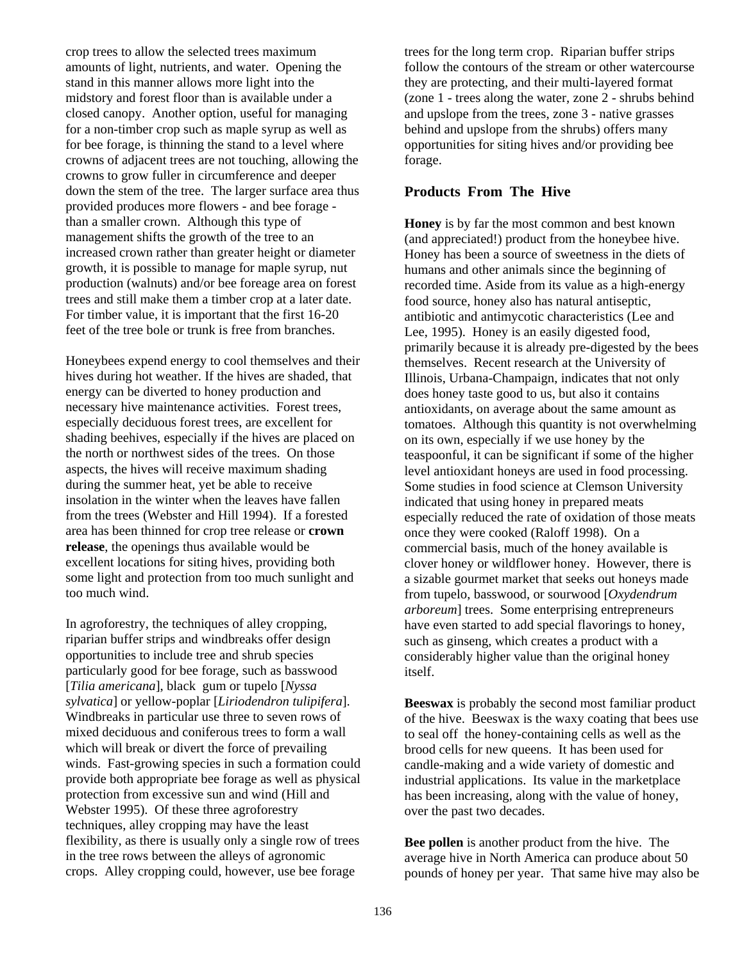crop trees to allow the selected trees maximum amounts of light, nutrients, and water. Opening the stand in this manner allows more light into the midstory and forest floor than is available under a closed canopy. Another option, useful for managing for a non-timber crop such as maple syrup as well as for bee forage, is thinning the stand to a level where crowns of adjacent trees are not touching, allowing the crowns to grow fuller in circumference and deeper down the stem of the tree. The larger surface area thus provided produces more flowers - and bee forage than a smaller crown. Although this type of management shifts the growth of the tree to an increased crown rather than greater height or diameter growth, it is possible to manage for maple syrup, nut production (walnuts) and/or bee foreage area on forest trees and still make them a timber crop at a later date. For timber value, it is important that the first 16-20 feet of the tree bole or trunk is free from branches.

Honeybees expend energy to cool themselves and their hives during hot weather. If the hives are shaded, that energy can be diverted to honey production and necessary hive maintenance activities. Forest trees, especially deciduous forest trees, are excellent for shading beehives, especially if the hives are placed on the north or northwest sides of the trees. On those aspects, the hives will receive maximum shading during the summer heat, yet be able to receive insolation in the winter when the leaves have fallen from the trees (Webster and Hill 1994). If a forested area has been thinned for crop tree release or **crown release**, the openings thus available would be excellent locations for siting hives, providing both some light and protection from too much sunlight and too much wind.

In agroforestry, the techniques of alley cropping, riparian buffer strips and windbreaks offer design opportunities to include tree and shrub species particularly good for bee forage, such as basswood [*Tilia americana*], black gum or tupelo [*Nyssa sylvatica*] or yellow-poplar [*Liriodendron tulipifera*]. Windbreaks in particular use three to seven rows of mixed deciduous and coniferous trees to form a wall which will break or divert the force of prevailing winds. Fast-growing species in such a formation could provide both appropriate bee forage as well as physical protection from excessive sun and wind (Hill and Webster 1995). Of these three agroforestry techniques, alley cropping may have the least flexibility, as there is usually only a single row of trees in the tree rows between the alleys of agronomic crops. Alley cropping could, however, use bee forage

trees for the long term crop. Riparian buffer strips follow the contours of the stream or other watercourse they are protecting, and their multi-layered format (zone 1 - trees along the water, zone 2 - shrubs behind and upslope from the trees, zone 3 - native grasses behind and upslope from the shrubs) offers many opportunities for siting hives and/or providing bee forage.

#### **Products From The Hive**

**Honey** is by far the most common and best known (and appreciated!) product from the honeybee hive. Honey has been a source of sweetness in the diets of humans and other animals since the beginning of recorded time. Aside from its value as a high-energy food source, honey also has natural antiseptic, antibiotic and antimycotic characteristics (Lee and Lee, 1995). Honey is an easily digested food, primarily because it is already pre-digested by the bees themselves. Recent research at the University of Illinois, Urbana-Champaign, indicates that not only does honey taste good to us, but also it contains antioxidants, on average about the same amount as tomatoes. Although this quantity is not overwhelming on its own, especially if we use honey by the teaspoonful, it can be significant if some of the higher level antioxidant honeys are used in food processing. Some studies in food science at Clemson University indicated that using honey in prepared meats especially reduced the rate of oxidation of those meats once they were cooked (Raloff 1998). On a commercial basis, much of the honey available is clover honey or wildflower honey. However, there is a sizable gourmet market that seeks out honeys made from tupelo, basswood, or sourwood [*Oxydendrum arboreum*] trees. Some enterprising entrepreneurs have even started to add special flavorings to honey, such as ginseng, which creates a product with a considerably higher value than the original honey itself.

**Beeswax** is probably the second most familiar product of the hive. Beeswax is the waxy coating that bees use to seal off the honey-containing cells as well as the brood cells for new queens. It has been used for candle-making and a wide variety of domestic and industrial applications. Its value in the marketplace has been increasing, along with the value of honey, over the past two decades.

**Bee pollen** is another product from the hive. The average hive in North America can produce about 50 pounds of honey per year. That same hive may also be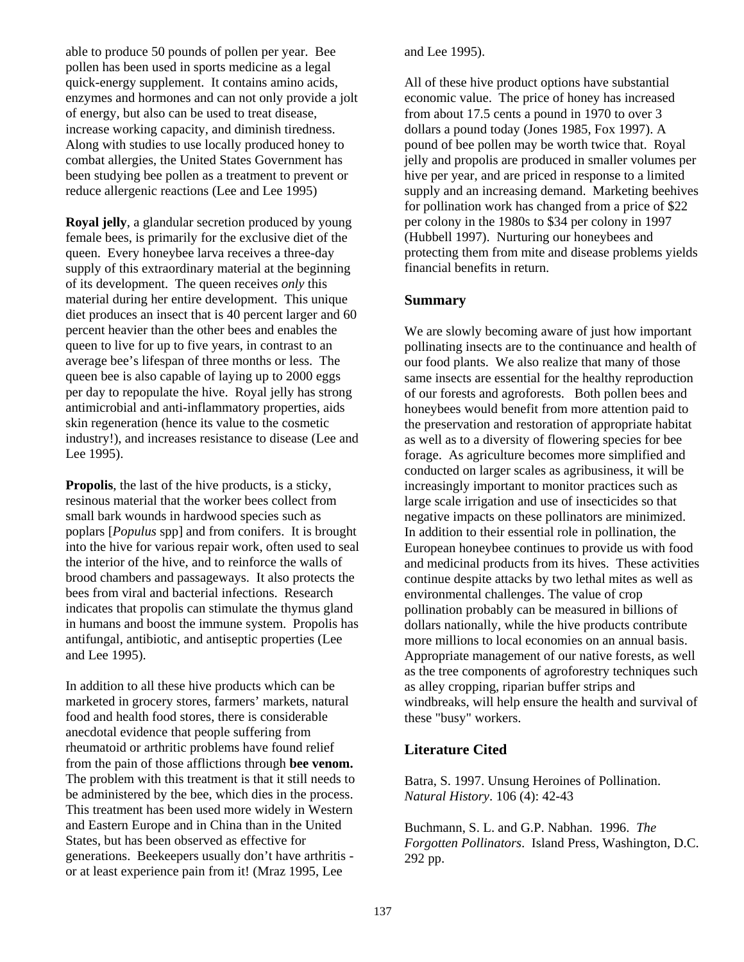able to produce 50 pounds of pollen per year. Bee pollen has been used in sports medicine as a legal quick-energy supplement. It contains amino acids, enzymes and hormones and can not only provide a jolt of energy, but also can be used to treat disease, increase working capacity, and diminish tiredness. Along with studies to use locally produced honey to combat allergies, the United States Government has been studying bee pollen as a treatment to prevent or reduce allergenic reactions (Lee and Lee 1995)

**Royal jelly**, a glandular secretion produced by young female bees, is primarily for the exclusive diet of the queen. Every honeybee larva receives a three-day supply of this extraordinary material at the beginning of its development. The queen receives *only* this material during her entire development. This unique diet produces an insect that is 40 percent larger and 60 percent heavier than the other bees and enables the queen to live for up to five years, in contrast to an average bee's lifespan of three months or less. The queen bee is also capable of laying up to 2000 eggs per day to repopulate the hive. Royal jelly has strong antimicrobial and anti-inflammatory properties, aids skin regeneration (hence its value to the cosmetic industry!), and increases resistance to disease (Lee and Lee 1995).

**Propolis**, the last of the hive products, is a sticky, resinous material that the worker bees collect from small bark wounds in hardwood species such as poplars [*Populus* spp] and from conifers. It is brought into the hive for various repair work, often used to seal the interior of the hive, and to reinforce the walls of brood chambers and passageways. It also protects the bees from viral and bacterial infections. Research indicates that propolis can stimulate the thymus gland in humans and boost the immune system. Propolis has antifungal, antibiotic, and antiseptic properties (Lee and Lee 1995).

In addition to all these hive products which can be marketed in grocery stores, farmers' markets, natural food and health food stores, there is considerable anecdotal evidence that people suffering from rheumatoid or arthritic problems have found relief from the pain of those afflictions through **bee venom.** The problem with this treatment is that it still needs to be administered by the bee, which dies in the process. This treatment has been used more widely in Western and Eastern Europe and in China than in the United States, but has been observed as effective for generations. Beekeepers usually don't have arthritis or at least experience pain from it! (Mraz 1995, Lee

and Lee 1995).

All of these hive product options have substantial economic value. The price of honey has increased from about 17.5 cents a pound in 1970 to over 3 dollars a pound today (Jones 1985, Fox 1997). A pound of bee pollen may be worth twice that. Royal jelly and propolis are produced in smaller volumes per hive per year, and are priced in response to a limited supply and an increasing demand. Marketing beehives for pollination work has changed from a price of \$22 per colony in the 1980s to \$34 per colony in 1997 (Hubbell 1997). Nurturing our honeybees and protecting them from mite and disease problems yields financial benefits in return.

### **Summary**

We are slowly becoming aware of just how important pollinating insects are to the continuance and health of our food plants. We also realize that many of those same insects are essential for the healthy reproduction of our forests and agroforests. Both pollen bees and honeybees would benefit from more attention paid to the preservation and restoration of appropriate habitat as well as to a diversity of flowering species for bee forage. As agriculture becomes more simplified and conducted on larger scales as agribusiness, it will be increasingly important to monitor practices such as large scale irrigation and use of insecticides so that negative impacts on these pollinators are minimized. In addition to their essential role in pollination, the European honeybee continues to provide us with food and medicinal products from its hives. These activities continue despite attacks by two lethal mites as well as environmental challenges. The value of crop pollination probably can be measured in billions of dollars nationally, while the hive products contribute more millions to local economies on an annual basis. Appropriate management of our native forests, as well as the tree components of agroforestry techniques such as alley cropping, riparian buffer strips and windbreaks, will help ensure the health and survival of these "busy" workers.

# **Literature Cited**

Batra, S. 1997. Unsung Heroines of Pollination. *Natural History*. 106 (4): 42-43

Buchmann, S. L. and G.P. Nabhan. 1996. *The Forgotten Pollinators*. Island Press, Washington, D.C. 292 pp.